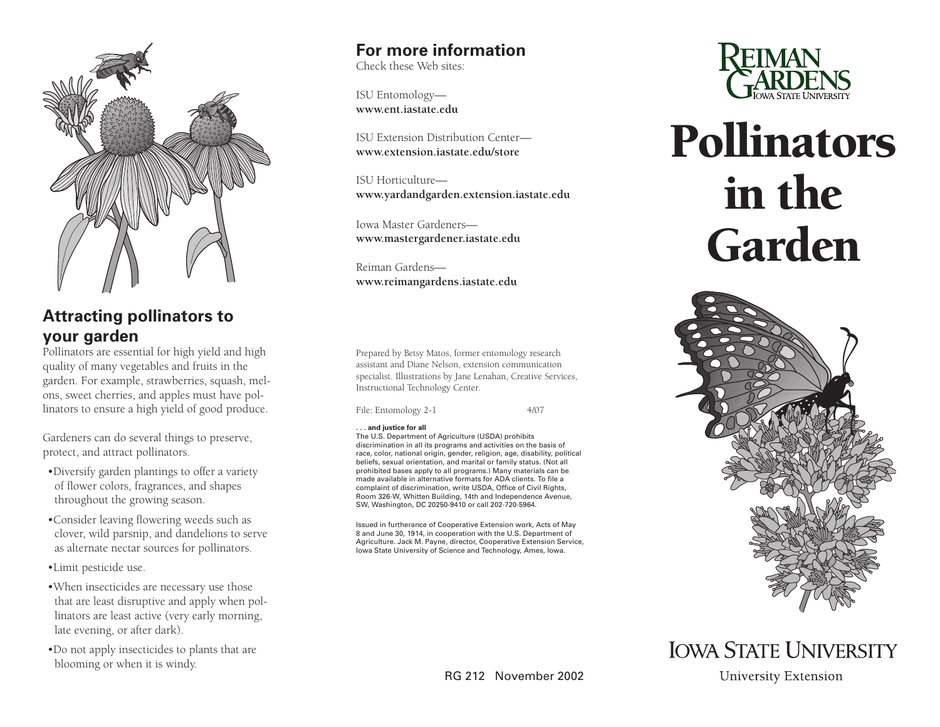

### **Attracting pollinators to your garden**

Pollinators are essential for high yield and high quality of many vegetables and fruits in the garden. For example, strawberries, squash, melons, sweet cherries, and apples must have pollinators to ensure a high yield of good produce.

Gardeners can do several things to preserve, protect, and attract pollinators.

- •Diversify garden plantings to offer a variety of flower colors, fragrances, and shapes throughout the growing season.
- •Consider leaving flowering weeds such as clover, wild parsnip, and dandelions to serve as alternate nectar sources for pollinators.
- •Limit pesticide use.
- •When insecticides are necessary use those that are least disruptive and apply when pollinators are least active (very early morning, late evening, or after dark).
- •Do not apply insecticides to plants that are blooming or when it is windy.

### **For more information**

Check these Web sites:

ISU Entomology **[www.ent.iastate.edu](http://www.ent.iastate.edu)**

[ISU Extension Distribution Center](http://www.extension.iastate.edu/store)  **www.extension.iastate.edu/store**

ISU Horticulture **[www.yardandgarden.extension.iastate.edu](http://www.yardandgarden.extension.iastate.edu)**

Iowa Master Gardeners **[www.mastergardener.iastate.edu](http://www.mastergardener.iastate.edu)**

Reiman Gardens **[www.reimangardens.iastate.edu](http://www.reimangardens.iastate.edu)** 

Prepared by Betsy Matos, former entomology research assistant and Diane Nelson, extension communication specialist. Illustrations by Jane Lenahan, Creative Services, Instructional Technology Center.

File: Entomology 2-1 4/07

#### **. . . and justice for all**

The U.S. Department of Agriculture (USDA) prohibits discrimination in all its programs and activities on the basis of race, color, national origin, gender, religion, age, disability, political beliefs, sexual orientation, and marital or family status. (Not all prohibited bases apply to all programs.) Many materials can be made available in alternative formats for ADA clients. To file a complaint of discrimination, write USDA, Office of Civil Rights, Room 326-W, Whitten Building, 14th and Independence Avenue, SW, Washington, DC 20250-9410 or call 202-720-5964.

Issued in furtherance of Cooperative Extension work, Acts of May 8 and June 30, 1914, in cooperation with the U.S. Department of Agriculture. Jack M. Payne, director, Cooperative Extension Service, Iowa State University of Science and Technology, Ames, Iowa.



# Pollinators in the Garden



## **IOWA STATE UNIVERSITY**

**University Extension** 

RG 212 November 2002